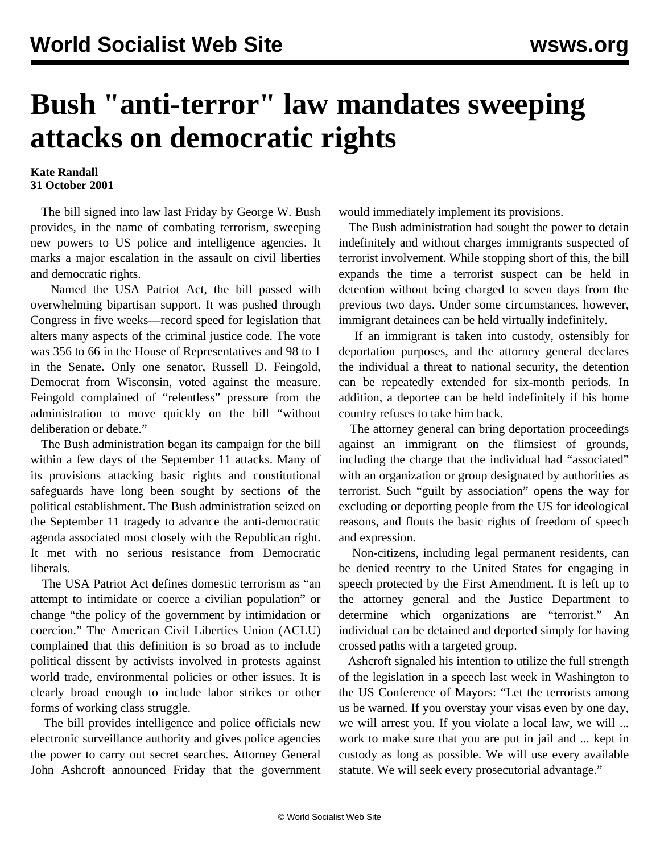## **Bush "anti-terror" law mandates sweeping attacks on democratic rights**

## **Kate Randall 31 October 2001**

 The bill signed into law last Friday by George W. Bush provides, in the name of combating terrorism, sweeping new powers to US police and intelligence agencies. It marks a major escalation in the assault on civil liberties and democratic rights.

 Named the USA Patriot Act, the bill passed with overwhelming bipartisan support. It was pushed through Congress in five weeks—record speed for legislation that alters many aspects of the criminal justice code. The vote was 356 to 66 in the House of Representatives and 98 to 1 in the Senate. Only one senator, Russell D. Feingold, Democrat from Wisconsin, voted against the measure. Feingold complained of "relentless" pressure from the administration to move quickly on the bill "without deliberation or debate."

 The Bush administration began its campaign for the bill within a few days of the September 11 attacks. Many of its provisions attacking basic rights and constitutional safeguards have long been sought by sections of the political establishment. The Bush administration seized on the September 11 tragedy to advance the anti-democratic agenda associated most closely with the Republican right. It met with no serious resistance from Democratic liberals.

 The USA Patriot Act defines domestic terrorism as "an attempt to intimidate or coerce a civilian population" or change "the policy of the government by intimidation or coercion." The American Civil Liberties Union (ACLU) complained that this definition is so broad as to include political dissent by activists involved in protests against world trade, environmental policies or other issues. It is clearly broad enough to include labor strikes or other forms of working class struggle.

 The bill provides intelligence and police officials new electronic surveillance authority and gives police agencies the power to carry out secret searches. Attorney General John Ashcroft announced Friday that the government would immediately implement its provisions.

 The Bush administration had sought the power to detain indefinitely and without charges immigrants suspected of terrorist involvement. While stopping short of this, the bill expands the time a terrorist suspect can be held in detention without being charged to seven days from the previous two days. Under some circumstances, however, immigrant detainees can be held virtually indefinitely.

 If an immigrant is taken into custody, ostensibly for deportation purposes, and the attorney general declares the individual a threat to national security, the detention can be repeatedly extended for six-month periods. In addition, a deportee can be held indefinitely if his home country refuses to take him back.

 The attorney general can bring deportation proceedings against an immigrant on the flimsiest of grounds, including the charge that the individual had "associated" with an organization or group designated by authorities as terrorist. Such "guilt by association" opens the way for excluding or deporting people from the US for ideological reasons, and flouts the basic rights of freedom of speech and expression.

 Non-citizens, including legal permanent residents, can be denied reentry to the United States for engaging in speech protected by the First Amendment. It is left up to the attorney general and the Justice Department to determine which organizations are "terrorist." An individual can be detained and deported simply for having crossed paths with a targeted group.

 Ashcroft signaled his intention to utilize the full strength of the legislation in a speech last week in Washington to the US Conference of Mayors: "Let the terrorists among us be warned. If you overstay your visas even by one day, we will arrest you. If you violate a local law, we will ... work to make sure that you are put in jail and ... kept in custody as long as possible. We will use every available statute. We will seek every prosecutorial advantage."